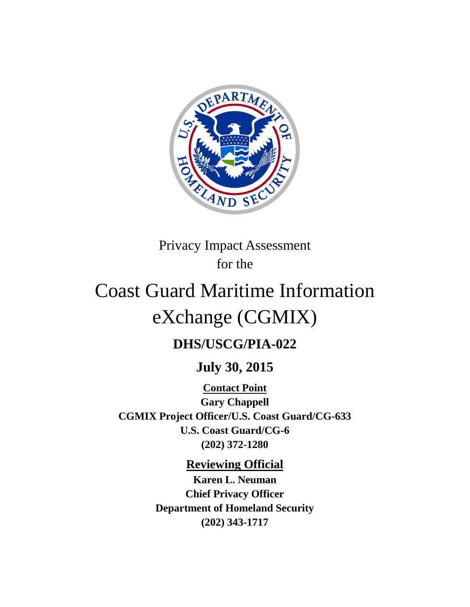

Privacy Impact Assessment for the

# Coast Guard Maritime Information eXchange (CGMIX)

# **DHS/USCG/PIA-022**

## **July 30, 2015**

**Contact Point Gary Chappell CGMIX Project Officer/U.S. Coast Guard/CG-633 U.S. Coast Guard/CG-6 (202) 372-1280**

## **Reviewing Official**

**Karen L. Neuman Chief Privacy Officer Department of Homeland Security (202) 343-1717**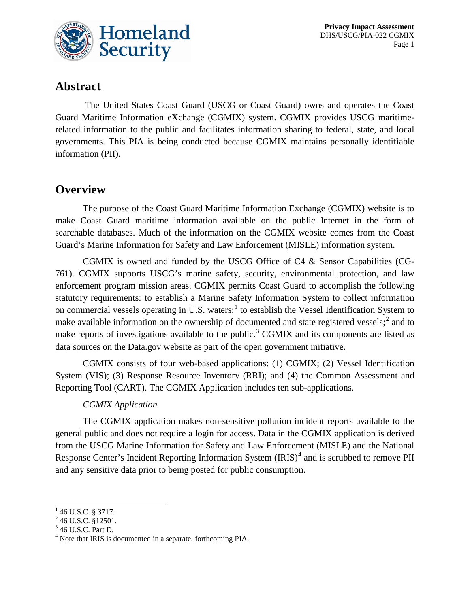

## **Abstract**

The United States Coast Guard (USCG or Coast Guard) owns and operates the Coast Guard Maritime Information eXchange (CGMIX) system. CGMIX provides USCG maritimerelated information to the public and facilitates information sharing to federal, state, and local governments. This PIA is being conducted because CGMIX maintains personally identifiable information (PII).

#### **Overview**

The purpose of the Coast Guard Maritime Information Exchange (CGMIX) website is to make Coast Guard maritime information available on the public Internet in the form of searchable databases. Much of the information on the CGMIX website comes from the Coast Guard's Marine Information for Safety and Law Enforcement (MISLE) information system.

CGMIX is owned and funded by the USCG Office of C4 & Sensor Capabilities (CG-761). CGMIX supports USCG's marine safety, security, environmental protection, and law enforcement program mission areas. CGMIX permits Coast Guard to accomplish the following statutory requirements: to establish a Marine Safety Information System to collect information on commercial vessels operating in U.S. waters;<sup>[1](#page-1-0)</sup> to establish the Vessel Identification System to make available information on the ownership of documented and state registered vessels;<sup>[2](#page-1-1)</sup> and to make reports of investigations available to the public.<sup>[3](#page-1-2)</sup> CGMIX and its components are listed as data sources on the Data.gov website as part of the open government initiative.

CGMIX consists of four web-based applications: (1) CGMIX; (2) Vessel Identification System (VIS); (3) Response Resource Inventory (RRI); and (4) the Common Assessment and Reporting Tool (CART). The CGMIX Application includes ten sub-applications.

#### *CGMIX Application*

The CGMIX application makes non-sensitive pollution incident reports available to the general public and does not require a login for access. Data in the CGMIX application is derived from the USCG Marine Information for Safety and Law Enforcement (MISLE) and the National Response Center's Incident Reporting Information System (IRIS)<sup>[4](#page-1-3)</sup> and is scrubbed to remove PII and any sensitive data prior to being posted for public consumption.

 $\overline{a}$ 

<span id="page-1-1"></span>

<span id="page-1-3"></span><span id="page-1-2"></span>

<span id="page-1-0"></span><sup>&</sup>lt;sup>1</sup> 46 U.S.C. § 3717.<br><sup>2</sup> 46 U.S.C. §12501.<br><sup>3</sup> 46 U.S.C. Part D. <sup>4</sup> Note that IRIS is documented in a separate, forthcoming PIA.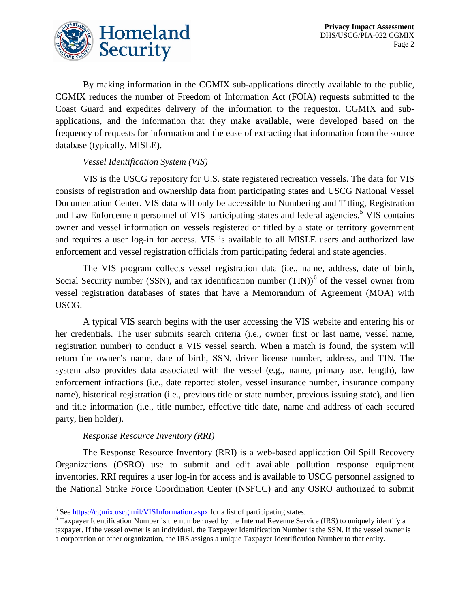

By making information in the CGMIX sub-applications directly available to the public, CGMIX reduces the number of Freedom of Information Act (FOIA) requests submitted to the Coast Guard and expedites delivery of the information to the requestor. CGMIX and subapplications, and the information that they make available, were developed based on the frequency of requests for information and the ease of extracting that information from the source database (typically, MISLE).

#### *Vessel Identification System (VIS)*

VIS is the USCG repository for U.S. state registered recreation vessels. The data for VIS consists of registration and ownership data from participating states and USCG National Vessel Documentation Center. VIS data will only be accessible to Numbering and Titling, Registration and Law Enforcement personnel of VIS participating states and federal agencies.<sup>[5](#page-2-0)</sup> VIS contains owner and vessel information on vessels registered or titled by a state or territory government and requires a user log-in for access. VIS is available to all MISLE users and authorized law enforcement and vessel registration officials from participating federal and state agencies.

The VIS program collects vessel registration data (i.e., name, address, date of birth, Social Security number (SSN), and tax identification number  $(TIN))<sup>6</sup>$  $(TIN))<sup>6</sup>$  $(TIN))<sup>6</sup>$  of the vessel owner from vessel registration databases of states that have a Memorandum of Agreement (MOA) with USCG.

A typical VIS search begins with the user accessing the VIS website and entering his or her credentials. The user submits search criteria (i.e., owner first or last name, vessel name, registration number) to conduct a VIS vessel search. When a match is found, the system will return the owner's name, date of birth, SSN, driver license number, address, and TIN. The system also provides data associated with the vessel (e.g., name, primary use, length), law enforcement infractions (i.e., date reported stolen, vessel insurance number, insurance company name), historical registration (i.e., previous title or state number, previous issuing state), and lien and title information (i.e., title number, effective title date, name and address of each secured party, lien holder).

#### *Response Resource Inventory (RRI)*

The Response Resource Inventory (RRI) is a web-based application Oil Spill Recovery Organizations (OSRO) use to submit and edit available pollution response equipment inventories. RRI requires a user log-in for access and is available to USCG personnel assigned to the National Strike Force Coordination Center (NSFCC) and any OSRO authorized to submit

<span id="page-2-0"></span><sup>&</sup>lt;sup>5</sup> See https://cgmix.uscg.mil/VISInformation.aspx for a list of participating states.

<span id="page-2-1"></span> $6$  Taxpayer Identification Number is the number used by the Internal Revenue Service (IRS) to uniquely identify a taxpayer. If the vessel owner is an individual, the Taxpayer Identification Number is the SSN. If the vessel owner is a corporation or other organization, the IRS assigns a unique Taxpayer Identification Number to that entity.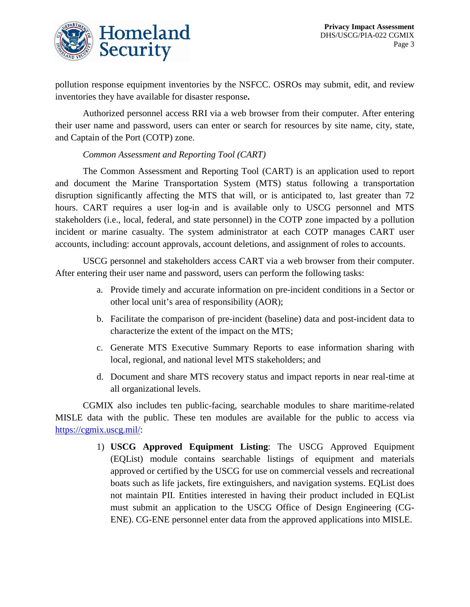

pollution response equipment inventories by the NSFCC. OSROs may submit, edit, and review inventories they have available for disaster response**.**

Authorized personnel access RRI via a web browser from their computer. After entering their user name and password, users can enter or search for resources by site name, city, state, and Captain of the Port (COTP) zone.

#### *Common Assessment and Reporting Tool (CART)*

The Common Assessment and Reporting Tool (CART) is an application used to report and document the Marine Transportation System (MTS) status following a transportation disruption significantly affecting the MTS that will, or is anticipated to, last greater than 72 hours. CART requires a user log-in and is available only to USCG personnel and MTS stakeholders (i.e., local, federal, and state personnel) in the COTP zone impacted by a pollution incident or marine casualty. The system administrator at each COTP manages CART user accounts, including: account approvals, account deletions, and assignment of roles to accounts.

USCG personnel and stakeholders access CART via a web browser from their computer. After entering their user name and password, users can perform the following tasks:

- a. Provide timely and accurate information on pre-incident conditions in a Sector or other local unit's area of responsibility (AOR);
- b. Facilitate the comparison of pre-incident (baseline) data and post-incident data to characterize the extent of the impact on the MTS;
- c. Generate MTS Executive Summary Reports to ease information sharing with local, regional, and national level MTS stakeholders; and
- d. Document and share MTS recovery status and impact reports in near real-time at all organizational levels.

CGMIX also includes ten public-facing, searchable modules to share maritime-related MISLE data with the public. These ten modules are available for the public to access via [https://cgmix.uscg.mil/:](https://cgmix.uscg.mil/)

> 1) **USCG Approved Equipment Listing**: The USCG Approved Equipment (EQList) module contains searchable listings of equipment and materials approved or certified by the USCG for use on commercial vessels and recreational boats such as life jackets, fire extinguishers, and navigation systems. EQList does not maintain PII. Entities interested in having their product included in EQList must submit an application to the USCG Office of Design Engineering (CG-ENE). CG-ENE personnel enter data from the approved applications into MISLE.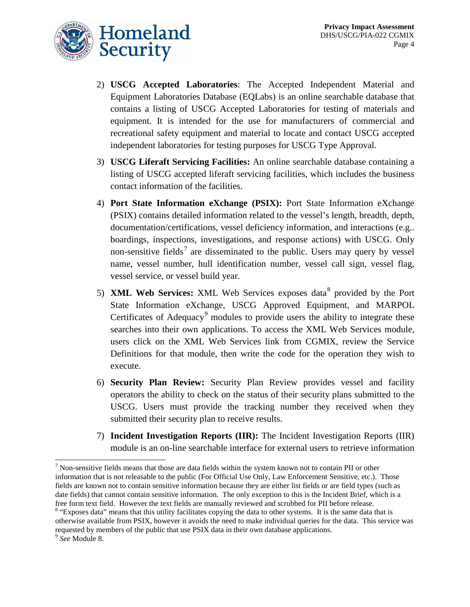- 2) **USCG Accepted Laboratories**: The Accepted Independent Material and Equipment Laboratories Database (EQLabs) is an online searchable database that contains a listing of USCG Accepted Laboratories for testing of materials and equipment. It is intended for the use for manufacturers of commercial and recreational safety equipment and material to locate and contact USCG accepted independent laboratories for testing purposes for USCG Type Approval.
- 3) **USCG Liferaft Servicing Facilities:** An online searchable database containing a listing of USCG accepted liferaft servicing facilities, which includes the business contact information of the facilities.
- 4) **Port State Information eXchange (PSIX):** Port State Information eXchange (PSIX) contains detailed information related to the vessel's length, breadth, depth, documentation/certifications, vessel deficiency information, and interactions (e.g.. boardings, inspections, investigations, and response actions) with USCG. Only non-sensitive fields<sup>[7](#page-4-0)</sup> are disseminated to the public. Users may query by vessel name, vessel number, hull identification number, vessel call sign, vessel flag, vessel service, or vessel build year.
- 5) **XML Web Services:** XML Web Services exposes data[8](#page-4-1) provided by the Port State Information eXchange, USCG Approved Equipment, and MARPOL Certificates of Adequacy<sup>[9](#page-4-2)</sup> modules to provide users the ability to integrate these searches into their own applications. To access the XML Web Services module, users click on the XML Web Services link from CGMIX, review the Service Definitions for that module, then write the code for the operation they wish to execute.
- 6) **Security Plan Review:** Security Plan Review provides vessel and facility operators the ability to check on the status of their security plans submitted to the USCG. Users must provide the tracking number they received when they submitted their security plan to receive results.
- 7) **Incident Investigation Reports (IIR):** The Incident Investigation Reports (IIR) module is an on-line searchable interface for external users to retrieve information

<span id="page-4-0"></span> $<sup>7</sup>$  Non-sensitive fields means that those are data fields within the system known not to contain PII or other</sup> information that is not releasable to the public (For Official Use Only, Law Enforcement Sensitive, etc.). Those fields are known not to contain sensitive information because they are either list fields or are field types (such as date fields) that cannot contain sensitive information. The only exception to this is the Incident Brief, which is a free form text field. However the text fields are manually reviewed and scrubbed for PII before release. <sup>8</sup> "Exposes data" means that this utility facilitates copying the data to other systems. It is the same data that is  $\overline{a}$ 

<span id="page-4-1"></span>otherwise available from PSIX, however it avoids the need to make individual queries for the data. This service was requested by members of the public that use PSIX data in their own database applications.

<span id="page-4-2"></span><sup>9</sup> *See* Module 8.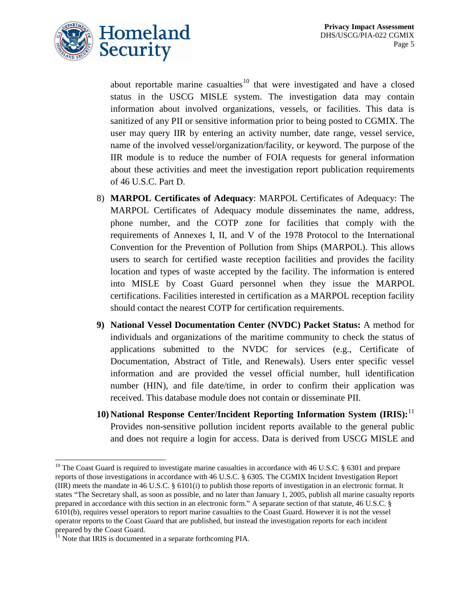

about reportable marine casualties<sup>[10](#page-5-0)</sup> that were investigated and have a closed status in the USCG MISLE system. The investigation data may contain information about involved organizations, vessels, or facilities. This data is sanitized of any PII or sensitive information prior to being posted to CGMIX. The user may query IIR by entering an activity number, date range, vessel service, name of the involved vessel/organization/facility, or keyword. The purpose of the IIR module is to reduce the number of FOIA requests for general information about these activities and meet the investigation report publication requirements of 46 U.S.C. Part D.

- 8) **MARPOL Certificates of Adequacy**: MARPOL Certificates of Adequacy: The MARPOL Certificates of Adequacy module disseminates the name, address, phone number, and the COTP zone for facilities that comply with the requirements of Annexes I, II, and V of the 1978 Protocol to the International Convention for the Prevention of Pollution from Ships (MARPOL). This allows users to search for certified waste reception facilities and provides the facility location and types of waste accepted by the facility. The information is entered into MISLE by Coast Guard personnel when they issue the MARPOL certifications. Facilities interested in certification as a MARPOL reception facility should contact the nearest COTP for certification requirements.
- **9) National Vessel Documentation Center (NVDC) Packet Status:** A method for individuals and organizations of the maritime community to check the status of applications submitted to the NVDC for services (e.g., Certificate of Documentation, Abstract of Title, and Renewals). Users enter specific vessel information and are provided the vessel official number, hull identification number (HIN), and file date/time, in order to confirm their application was received. This database module does not contain or disseminate PII.
- **10) National Response Center/Incident Reporting Information System (IRIS):** [11](#page-5-1) Provides non-sensitive pollution incident reports available to the general public and does not require a login for access. Data is derived from USCG MISLE and

<span id="page-5-0"></span><sup>&</sup>lt;sup>10</sup> The Coast Guard is required to investigate marine casualties in accordance with 46 U.S.C. § 6301 and prepare reports of those investigations in accordance with 46 U.S.C. § 6305. The CGMIX Incident Investigation Report (IIR) meets the mandate in 46 U.S.C. § 6101(i) to publish those reports of investigation in an electronic format. It states "The Secretary shall, as soon as possible, and no later than January 1, 2005, publish all marine casualty reports prepared in accordance with this section in an electronic form." A separate section of that statute, 46 U.S.C. § 6101(b), requires vessel operators to report marine casualties to the Coast Guard. However it is not the vessel operator reports to the Coast Guard that are published, but instead the investigation reports for each incident prepared by the Coast Guard.<br><sup>11</sup> Note that IRIS is documented in a separate forthcoming PIA.  $\overline{a}$ 

<span id="page-5-1"></span>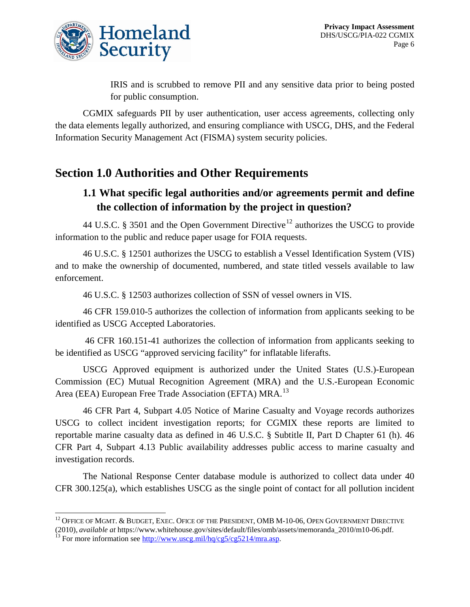

IRIS and is scrubbed to remove PII and any sensitive data prior to being posted for public consumption.

CGMIX safeguards PII by user authentication, user access agreements, collecting only the data elements legally authorized, and ensuring compliance with USCG, DHS, and the Federal Information Security Management Act (FISMA) system security policies.

## **Section 1.0 Authorities and Other Requirements**

#### **1.1 What specific legal authorities and/or agreements permit and define the collection of information by the project in question?**

44 U.S.C. § 3501 and the Open Government Directive<sup>[12](#page-6-0)</sup> authorizes the USCG to provide information to the public and reduce paper usage for FOIA requests.

46 U.S.C. § 12501 authorizes the USCG to establish a Vessel Identification System (VIS) and to make the ownership of documented, numbered, and state titled vessels available to law enforcement.

46 U.S.C. § 12503 authorizes collection of SSN of vessel owners in VIS.

46 CFR 159.010-5 authorizes the collection of information from applicants seeking to be identified as USCG Accepted Laboratories.

46 CFR 160.151-41 authorizes the collection of information from applicants seeking to be identified as USCG "approved servicing facility" for inflatable liferafts.

USCG Approved equipment is authorized under the United States (U.S.)-European Commission (EC) Mutual Recognition Agreement (MRA) and the U.S.-European Economic Area (EEA) European Free Trade Association (EFTA) MRA.<sup>[13](#page-6-1)</sup>

46 CFR Part 4, Subpart 4.05 Notice of Marine Casualty and Voyage records authorizes USCG to collect incident investigation reports; for CGMIX these reports are limited to reportable marine casualty data as defined in 46 U.S.C. § Subtitle II, Part D Chapter 61 (h). 46 CFR Part 4, Subpart 4.13 Public availability addresses public access to marine casualty and investigation records.

The National Response Center database module is authorized to collect data under 40 CFR 300.125(a), which establishes USCG as the single point of contact for all pollution incident

 $\overline{a}$ 

<span id="page-6-0"></span> $^{12}$  Office of Mgmt. & Budget, Exec. Ofice of the President, OMB M-10-06, Open Government Directive (2010), *available at* https://www.whitehouse.gov/sites/default/files/omb/assets/memoranda\_2010/m10-06.pdf. <sup>13</sup> For more information see [http://www.uscg.mil/hq/cg5/cg5214/mra.asp.](http://www.uscg.mil/hq/cg5/cg5214/mra.asp)

<span id="page-6-1"></span>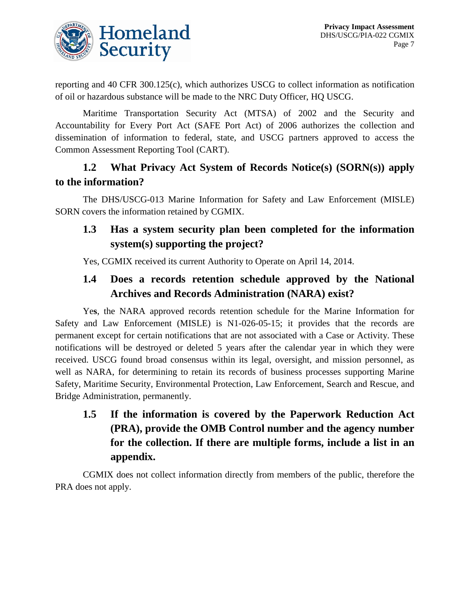

reporting and 40 CFR 300.125(c), which authorizes USCG to collect information as notification of oil or hazardous substance will be made to the NRC Duty Officer, HQ USCG.

Maritime Transportation Security Act (MTSA) of 2002 and the Security and Accountability for Every Port Act (SAFE Port Act) of 2006 authorizes the collection and dissemination of information to federal, state, and USCG partners approved to access the Common Assessment Reporting Tool (CART).

## **1.2 What Privacy Act System of Records Notice(s) (SORN(s)) apply to the information?**

The DHS/USCG-013 Marine Information for Safety and Law Enforcement (MISLE) SORN covers the information retained by CGMIX.

## **1.3 Has a system security plan been completed for the information system(s) supporting the project?**

Yes, CGMIX received its current Authority to Operate on April 14, 2014.

#### **1.4 Does a records retention schedule approved by the National Archives and Records Administration (NARA) exist?**

Ye**s**, the NARA approved records retention schedule for the Marine Information for Safety and Law Enforcement (MISLE) is N1-026-05-15; it provides that the records are permanent except for certain notifications that are not associated with a Case or Activity. These notifications will be destroyed or deleted 5 years after the calendar year in which they were received. USCG found broad consensus within its legal, oversight, and mission personnel, as well as NARA, for determining to retain its records of business processes supporting Marine Safety, Maritime Security, Environmental Protection, Law Enforcement, Search and Rescue, and Bridge Administration, permanently.

**1.5 If the information is covered by the Paperwork Reduction Act (PRA), provide the OMB Control number and the agency number for the collection. If there are multiple forms, include a list in an appendix.**

CGMIX does not collect information directly from members of the public, therefore the PRA does not apply.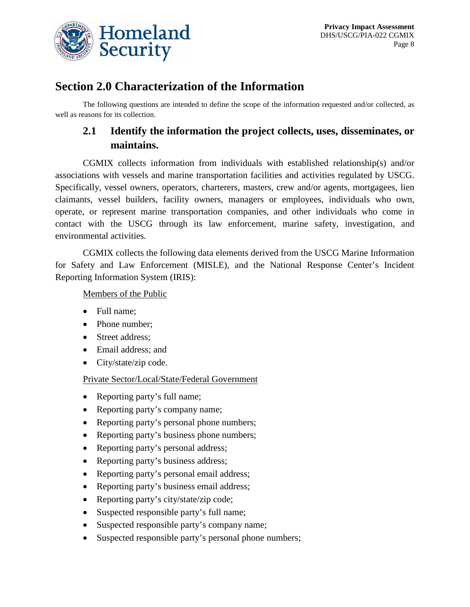

## **Section 2.0 Characterization of the Information**

The following questions are intended to define the scope of the information requested and/or collected, as well as reasons for its collection.

## **2.1 Identify the information the project collects, uses, disseminates, or maintains.**

CGMIX collects information from individuals with established relationship(s) and/or associations with vessels and marine transportation facilities and activities regulated by USCG. Specifically, vessel owners, operators, charterers, masters, crew and/or agents, mortgagees, lien claimants, vessel builders, facility owners, managers or employees, individuals who own, operate, or represent marine transportation companies, and other individuals who come in contact with the USCG through its law enforcement, marine safety, investigation, and environmental activities.

CGMIX collects the following data elements derived from the USCG Marine Information for Safety and Law Enforcement (MISLE), and the National Response Center's Incident Reporting Information System (IRIS):

#### Members of the Public

- Full name;
- Phone number;
- Street address;
- Email address; and
- City/state/zip code.

Private Sector/Local/State/Federal Government

- Reporting party's full name;
- Reporting party's company name;
- Reporting party's personal phone numbers;
- Reporting party's business phone numbers;
- Reporting party's personal address;
- Reporting party's business address;
- Reporting party's personal email address;
- Reporting party's business email address;
- Reporting party's city/state/zip code;
- Suspected responsible party's full name;
- Suspected responsible party's company name;
- Suspected responsible party's personal phone numbers;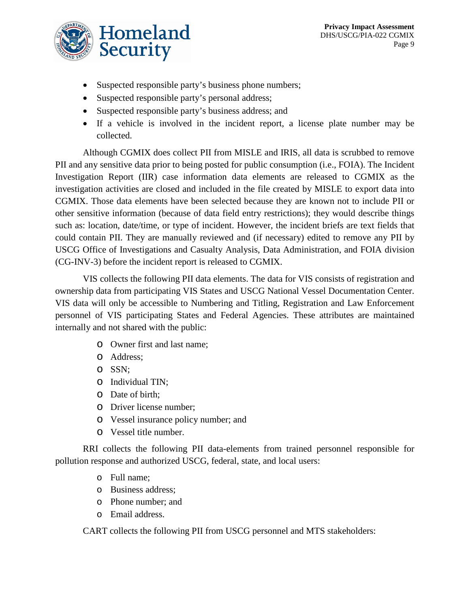- Suspected responsible party's business phone numbers;
- Suspected responsible party's personal address;
- Suspected responsible party's business address; and
- If a vehicle is involved in the incident report, a license plate number may be collected.

Although CGMIX does collect PII from MISLE and IRIS, all data is scrubbed to remove PII and any sensitive data prior to being posted for public consumption (i.e., FOIA). The Incident Investigation Report (IIR) case information data elements are released to CGMIX as the investigation activities are closed and included in the file created by MISLE to export data into CGMIX. Those data elements have been selected because they are known not to include PII or other sensitive information (because of data field entry restrictions); they would describe things such as: location, date/time, or type of incident. However, the incident briefs are text fields that could contain PII. They are manually reviewed and (if necessary) edited to remove any PII by USCG Office of Investigations and Casualty Analysis, Data Administration, and FOIA division (CG-INV-3) before the incident report is released to CGMIX.

VIS collects the following PII data elements. The data for VIS consists of registration and ownership data from participating VIS States and USCG National Vessel Documentation Center. VIS data will only be accessible to Numbering and Titling, Registration and Law Enforcement personnel of VIS participating States and Federal Agencies. These attributes are maintained internally and not shared with the public:

- o Owner first and last name;
- o Address;
- o SSN;
- o Individual TIN;
- o Date of birth;
- o Driver license number;
- o Vessel insurance policy number; and
- o Vessel title number.

RRI collects the following PII data-elements from trained personnel responsible for pollution response and authorized USCG, federal, state, and local users:

- o Full name;
- o Business address;
- o Phone number; and
- o Email address.

CART collects the following PII from USCG personnel and MTS stakeholders: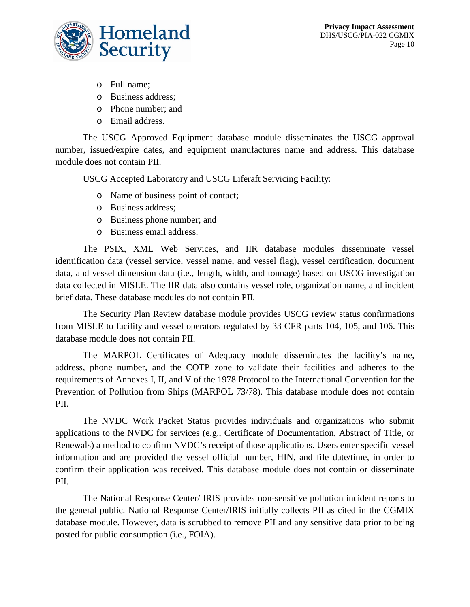



- o Full name;
- o Business address;
- o Phone number; and
- o Email address.

The USCG Approved Equipment database module disseminates the USCG approval number, issued/expire dates, and equipment manufactures name and address. This database module does not contain PII.

USCG Accepted Laboratory and USCG Liferaft Servicing Facility:

- o Name of business point of contact;
- o Business address;
- o Business phone number; and
- o Business email address.

The PSIX, XML Web Services, and IIR database modules disseminate vessel identification data (vessel service, vessel name, and vessel flag), vessel certification, document data, and vessel dimension data (i.e., length, width, and tonnage) based on USCG investigation data collected in MISLE. The IIR data also contains vessel role, organization name, and incident brief data. These database modules do not contain PII.

The Security Plan Review database module provides USCG review status confirmations from MISLE to facility and vessel operators regulated by 33 CFR parts 104, 105, and 106. This database module does not contain PII.

The MARPOL Certificates of Adequacy module disseminates the facility's name, address, phone number, and the COTP zone to validate their facilities and adheres to the requirements of Annexes I, II, and V of the 1978 Protocol to the International Convention for the Prevention of Pollution from Ships (MARPOL 73/78). This database module does not contain PII.

The NVDC Work Packet Status provides individuals and organizations who submit applications to the NVDC for services (e.g., Certificate of Documentation, Abstract of Title, or Renewals) a method to confirm NVDC's receipt of those applications. Users enter specific vessel information and are provided the vessel official number, HIN, and file date/time, in order to confirm their application was received. This database module does not contain or disseminate PII.

The National Response Center/ IRIS provides non-sensitive pollution incident reports to the general public. National Response Center/IRIS initially collects PII as cited in the CGMIX database module. However, data is scrubbed to remove PII and any sensitive data prior to being posted for public consumption (i.e., FOIA).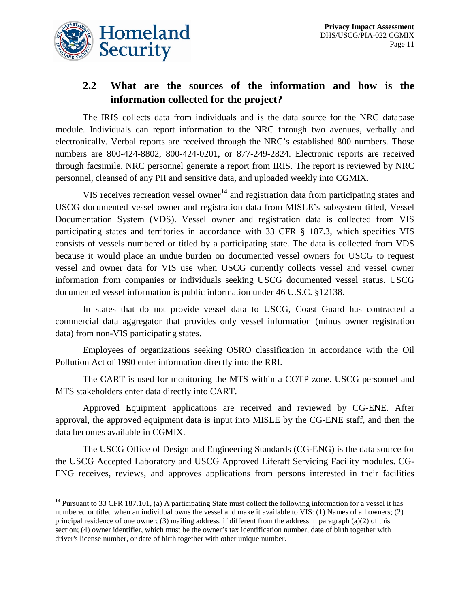

 $\overline{a}$ 

#### **2.2 What are the sources of the information and how is the information collected for the project?**

The IRIS collects data from individuals and is the data source for the NRC database module. Individuals can report information to the NRC through two avenues, verbally and electronically. Verbal reports are received through the NRC's established 800 numbers. Those numbers are 800-424-8802, 800-424-0201, or 877-249-2824. Electronic reports are received through facsimile. NRC personnel generate a report from IRIS. The report is reviewed by NRC personnel, cleansed of any PII and sensitive data, and uploaded weekly into CGMIX.

VIS receives recreation vessel owner<sup>[14](#page-11-0)</sup> and registration data from participating states and USCG documented vessel owner and registration data from MISLE's subsystem titled, Vessel Documentation System (VDS). Vessel owner and registration data is collected from VIS participating states and territories in accordance with 33 CFR § 187.3, which specifies VIS consists of vessels numbered or titled by a participating state. The data is collected from VDS because it would place an undue burden on documented vessel owners for USCG to request vessel and owner data for VIS use when USCG currently collects vessel and vessel owner information from companies or individuals seeking USCG documented vessel status. USCG documented vessel information is public information under 46 U.S.C. §12138.

In states that do not provide vessel data to USCG, Coast Guard has contracted a commercial data aggregator that provides only vessel information (minus owner registration data) from non-VIS participating states.

Employees of organizations seeking OSRO classification in accordance with the Oil Pollution Act of 1990 enter information directly into the RRI.

The CART is used for monitoring the MTS within a COTP zone. USCG personnel and MTS stakeholders enter data directly into CART.

Approved Equipment applications are received and reviewed by CG-ENE. After approval, the approved equipment data is input into MISLE by the CG-ENE staff, and then the data becomes available in CGMIX.

The USCG Office of Design and Engineering Standards (CG-ENG) is the data source for the USCG Accepted Laboratory and USCG Approved Liferaft Servicing Facility modules. CG-ENG receives, reviews, and approves applications from persons interested in their facilities

<span id="page-11-0"></span> $14$  Pursuant to 33 CFR 187.101, (a) A participating State must collect the following information for a vessel it has numbered or titled when an individual owns the vessel and make it available to VIS: (1) Names of all owners; (2) principal residence of one owner; (3) mailing address, if different from the address in paragraph (a)(2) of this section; (4) owner identifier, which must be the owner's tax identification number, date of birth together with driver's license number, or date of birth together with other unique number.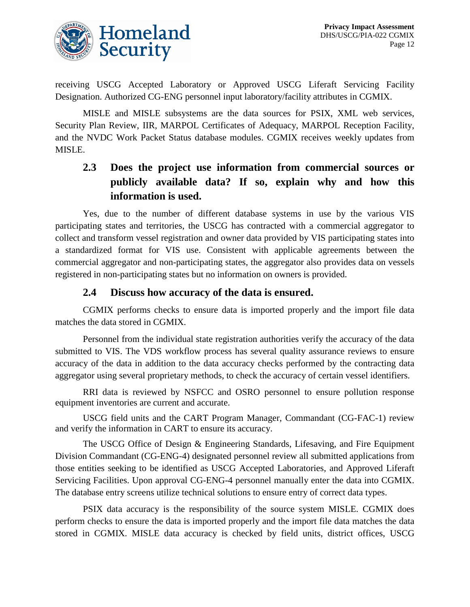

receiving USCG Accepted Laboratory or Approved USCG Liferaft Servicing Facility Designation. Authorized CG-ENG personnel input laboratory/facility attributes in CGMIX.

MISLE and MISLE subsystems are the data sources for PSIX, XML web services, Security Plan Review, IIR, MARPOL Certificates of Adequacy, MARPOL Reception Facility, and the NVDC Work Packet Status database modules. CGMIX receives weekly updates from MISLE.

## **2.3 Does the project use information from commercial sources or publicly available data? If so, explain why and how this information is used.**

Yes, due to the number of different database systems in use by the various VIS participating states and territories, the USCG has contracted with a commercial aggregator to collect and transform vessel registration and owner data provided by VIS participating states into a standardized format for VIS use. Consistent with applicable agreements between the commercial aggregator and non-participating states, the aggregator also provides data on vessels registered in non-participating states but no information on owners is provided.

#### **2.4 Discuss how accuracy of the data is ensured.**

CGMIX performs checks to ensure data is imported properly and the import file data matches the data stored in CGMIX.

Personnel from the individual state registration authorities verify the accuracy of the data submitted to VIS. The VDS workflow process has several quality assurance reviews to ensure accuracy of the data in addition to the data accuracy checks performed by the contracting data aggregator using several proprietary methods, to check the accuracy of certain vessel identifiers.

RRI data is reviewed by NSFCC and OSRO personnel to ensure pollution response equipment inventories are current and accurate.

USCG field units and the CART Program Manager, Commandant (CG-FAC-1) review and verify the information in CART to ensure its accuracy.

The USCG Office of Design & Engineering Standards, Lifesaving, and Fire Equipment Division Commandant (CG-ENG-4) designated personnel review all submitted applications from those entities seeking to be identified as USCG Accepted Laboratories, and Approved Liferaft Servicing Facilities. Upon approval CG-ENG-4 personnel manually enter the data into CGMIX. The database entry screens utilize technical solutions to ensure entry of correct data types.

PSIX data accuracy is the responsibility of the source system MISLE. CGMIX does perform checks to ensure the data is imported properly and the import file data matches the data stored in CGMIX. MISLE data accuracy is checked by field units, district offices, USCG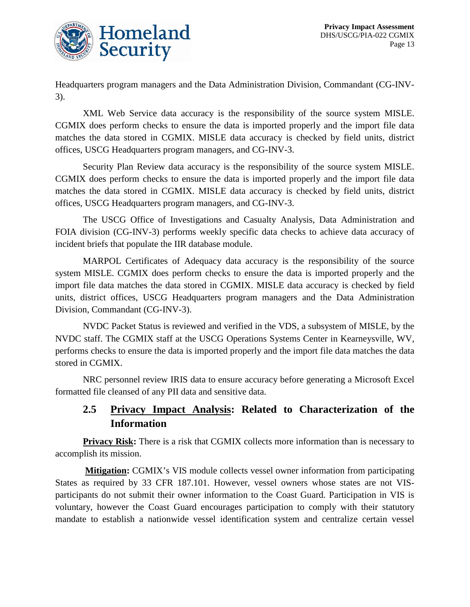

Headquarters program managers and the Data Administration Division, Commandant (CG-INV-3).

XML Web Service data accuracy is the responsibility of the source system MISLE. CGMIX does perform checks to ensure the data is imported properly and the import file data matches the data stored in CGMIX. MISLE data accuracy is checked by field units, district offices, USCG Headquarters program managers, and CG-INV-3.

Security Plan Review data accuracy is the responsibility of the source system MISLE. CGMIX does perform checks to ensure the data is imported properly and the import file data matches the data stored in CGMIX. MISLE data accuracy is checked by field units, district offices, USCG Headquarters program managers, and CG-INV-3.

The USCG Office of Investigations and Casualty Analysis, Data Administration and FOIA division (CG-INV-3) performs weekly specific data checks to achieve data accuracy of incident briefs that populate the IIR database module.

MARPOL Certificates of Adequacy data accuracy is the responsibility of the source system MISLE. CGMIX does perform checks to ensure the data is imported properly and the import file data matches the data stored in CGMIX. MISLE data accuracy is checked by field units, district offices, USCG Headquarters program managers and the Data Administration Division, Commandant (CG-INV-3).

NVDC Packet Status is reviewed and verified in the VDS, a subsystem of MISLE, by the NVDC staff. The CGMIX staff at the USCG Operations Systems Center in Kearneysville, WV, performs checks to ensure the data is imported properly and the import file data matches the data stored in CGMIX.

NRC personnel review IRIS data to ensure accuracy before generating a Microsoft Excel formatted file cleansed of any PII data and sensitive data.

## **2.5 Privacy Impact Analysis: Related to Characterization of the Information**

**Privacy Risk:** There is a risk that CGMIX collects more information than is necessary to accomplish its mission.

**Mitigation:** CGMIX's VIS module collects vessel owner information from participating States as required by 33 CFR 187.101. However, vessel owners whose states are not VISparticipants do not submit their owner information to the Coast Guard. Participation in VIS is voluntary, however the Coast Guard encourages participation to comply with their statutory mandate to establish a nationwide vessel identification system and centralize certain vessel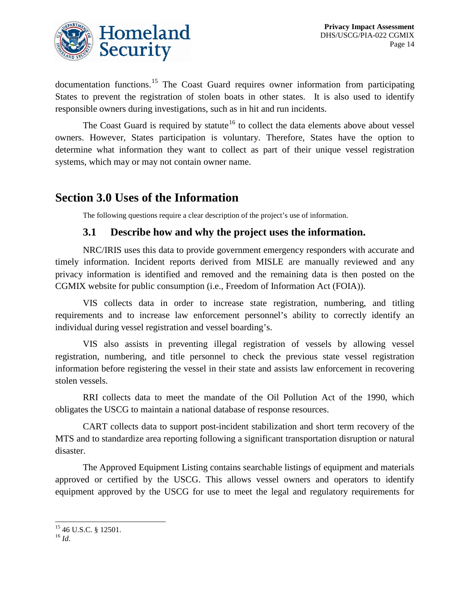

documentation functions.<sup>[15](#page-14-0)</sup> The Coast Guard requires owner information from participating States to prevent the registration of stolen boats in other states. It is also used to identify responsible owners during investigations, such as in hit and run incidents.

The Coast Guard is required by statute<sup>[16](#page-14-1)</sup> to collect the data elements above about vessel owners. However, States participation is voluntary. Therefore, States have the option to determine what information they want to collect as part of their unique vessel registration systems, which may or may not contain owner name.

## **Section 3.0 Uses of the Information**

The following questions require a clear description of the project's use of information.

#### **3.1 Describe how and why the project uses the information.**

NRC/IRIS uses this data to provide government emergency responders with accurate and timely information. Incident reports derived from MISLE are manually reviewed and any privacy information is identified and removed and the remaining data is then posted on the CGMIX website for public consumption (i.e., Freedom of Information Act (FOIA)).

VIS collects data in order to increase state registration, numbering, and titling requirements and to increase law enforcement personnel's ability to correctly identify an individual during vessel registration and vessel boarding's.

VIS also assists in preventing illegal registration of vessels by allowing vessel registration, numbering, and title personnel to check the previous state vessel registration information before registering the vessel in their state and assists law enforcement in recovering stolen vessels.

RRI collects data to meet the mandate of the Oil Pollution Act of the 1990, which obligates the USCG to maintain a national database of response resources.

CART collects data to support post-incident stabilization and short term recovery of the MTS and to standardize area reporting following a significant transportation disruption or natural disaster.

The Approved Equipment Listing contains searchable listings of equipment and materials approved or certified by the USCG. This allows vessel owners and operators to identify equipment approved by the USCG for use to meet the legal and regulatory requirements for

<span id="page-14-0"></span><sup>15</sup> 46 U.S.C. § 12501. <sup>16</sup> *Id*.  $\overline{a}$ 

<span id="page-14-1"></span>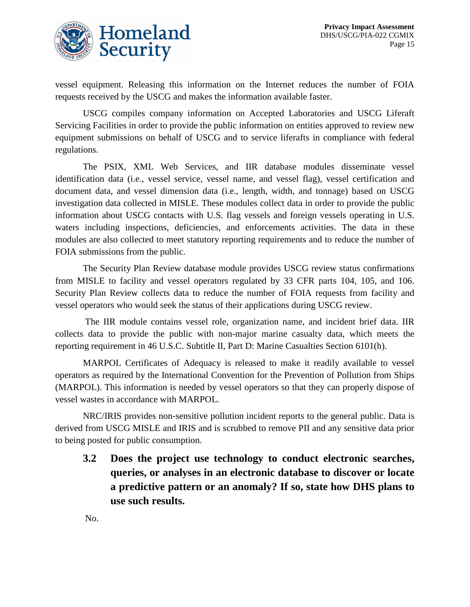

vessel equipment. Releasing this information on the Internet reduces the number of FOIA requests received by the USCG and makes the information available faster.

USCG compiles company information on Accepted Laboratories and USCG Liferaft Servicing Facilities in order to provide the public information on entities approved to review new equipment submissions on behalf of USCG and to service liferafts in compliance with federal regulations.

The PSIX, XML Web Services, and IIR database modules disseminate vessel identification data (i.e., vessel service, vessel name, and vessel flag), vessel certification and document data, and vessel dimension data (i.e., length, width, and tonnage) based on USCG investigation data collected in MISLE. These modules collect data in order to provide the public information about USCG contacts with U.S. flag vessels and foreign vessels operating in U.S. waters including inspections, deficiencies, and enforcements activities. The data in these modules are also collected to meet statutory reporting requirements and to reduce the number of FOIA submissions from the public.

The Security Plan Review database module provides USCG review status confirmations from MISLE to facility and vessel operators regulated by 33 CFR parts 104, 105, and 106. Security Plan Review collects data to reduce the number of FOIA requests from facility and vessel operators who would seek the status of their applications during USCG review.

The IIR module contains vessel role, organization name, and incident brief data. IIR collects data to provide the public with non-major marine casualty data, which meets the reporting requirement in 46 U.S.C. Subtitle II, Part D: Marine Casualties Section 6101(h).

MARPOL Certificates of Adequacy is released to make it readily available to vessel operators as required by the International Convention for the Prevention of Pollution from Ships (MARPOL). This information is needed by vessel operators so that they can properly dispose of vessel wastes in accordance with MARPOL.

NRC/IRIS provides non-sensitive pollution incident reports to the general public. Data is derived from USCG MISLE and IRIS and is scrubbed to remove PII and any sensitive data prior to being posted for public consumption.

**3.2 Does the project use technology to conduct electronic searches, queries, or analyses in an electronic database to discover or locate a predictive pattern or an anomaly? If so, state how DHS plans to use such results.**

No.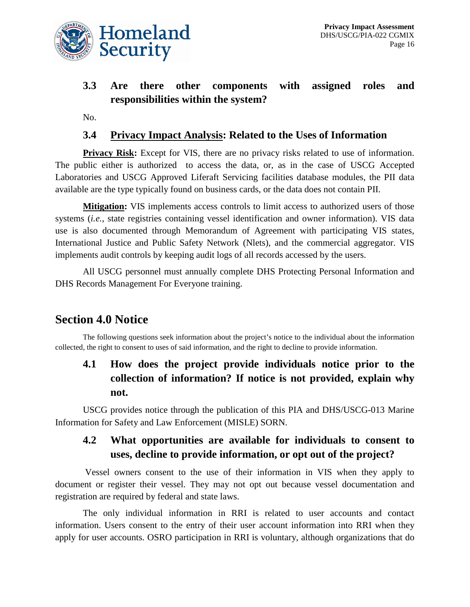

## **3.3 Are there other components with assigned roles and responsibilities within the system?**

No.

#### **3.4 Privacy Impact Analysis: Related to the Uses of Information**

**Privacy Risk:** Except for VIS, there are no privacy risks related to use of information. The public either is authorized to access the data, or, as in the case of USCG Accepted Laboratories and USCG Approved Liferaft Servicing facilities database modules, the PII data available are the type typically found on business cards, or the data does not contain PII.

**Mitigation:** VIS implements access controls to limit access to authorized users of those systems *(i.e.*, state registries containing vessel identification and owner information). VIS data use is also documented through Memorandum of Agreement with participating VIS states, International Justice and Public Safety Network (Nlets), and the commercial aggregator. VIS implements audit controls by keeping audit logs of all records accessed by the users.

All USCG personnel must annually complete DHS Protecting Personal Information and DHS Records Management For Everyone training.

## **Section 4.0 Notice**

The following questions seek information about the project's notice to the individual about the information collected, the right to consent to uses of said information, and the right to decline to provide information.

#### **4.1 How does the project provide individuals notice prior to the collection of information? If notice is not provided, explain why not.**

USCG provides notice through the publication of this PIA and DHS/USCG-013 Marine Information for Safety and Law Enforcement (MISLE) SORN.

#### **4.2 What opportunities are available for individuals to consent to uses, decline to provide information, or opt out of the project?**

Vessel owners consent to the use of their information in VIS when they apply to document or register their vessel. They may not opt out because vessel documentation and registration are required by federal and state laws.

The only individual information in RRI is related to user accounts and contact information. Users consent to the entry of their user account information into RRI when they apply for user accounts. OSRO participation in RRI is voluntary, although organizations that do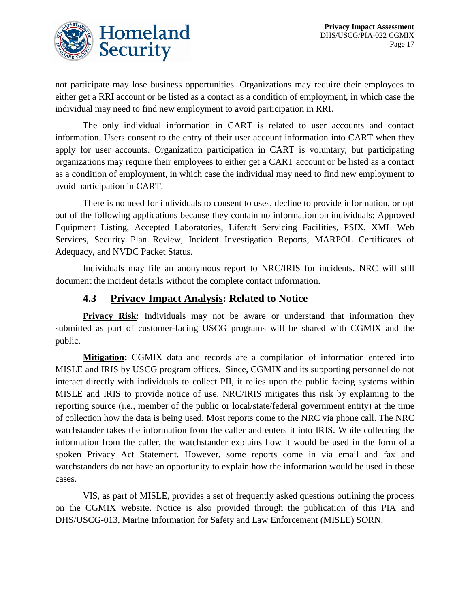

not participate may lose business opportunities. Organizations may require their employees to either get a RRI account or be listed as a contact as a condition of employment, in which case the individual may need to find new employment to avoid participation in RRI.

The only individual information in CART is related to user accounts and contact information. Users consent to the entry of their user account information into CART when they apply for user accounts. Organization participation in CART is voluntary, but participating organizations may require their employees to either get a CART account or be listed as a contact as a condition of employment, in which case the individual may need to find new employment to avoid participation in CART.

There is no need for individuals to consent to uses, decline to provide information, or opt out of the following applications because they contain no information on individuals: Approved Equipment Listing, Accepted Laboratories, Liferaft Servicing Facilities, PSIX, XML Web Services, Security Plan Review, Incident Investigation Reports, MARPOL Certificates of Adequacy, and NVDC Packet Status.

Individuals may file an anonymous report to NRC/IRIS for incidents. NRC will still document the incident details without the complete contact information.

#### **4.3 Privacy Impact Analysis: Related to Notice**

**Privacy Risk:** Individuals may not be aware or understand that information they submitted as part of customer-facing USCG programs will be shared with CGMIX and the public.

**Mitigation:** CGMIX data and records are a compilation of information entered into MISLE and IRIS by USCG program offices. Since, CGMIX and its supporting personnel do not interact directly with individuals to collect PII, it relies upon the public facing systems within MISLE and IRIS to provide notice of use. NRC/IRIS mitigates this risk by explaining to the reporting source (i.e., member of the public or local/state/federal government entity) at the time of collection how the data is being used. Most reports come to the NRC via phone call. The NRC watchstander takes the information from the caller and enters it into IRIS. While collecting the information from the caller, the watchstander explains how it would be used in the form of a spoken Privacy Act Statement. However, some reports come in via email and fax and watchstanders do not have an opportunity to explain how the information would be used in those cases.

VIS, as part of MISLE, provides a set of frequently asked questions outlining the process on the CGMIX website. Notice is also provided through the publication of this PIA and DHS/USCG-013, Marine Information for Safety and Law Enforcement (MISLE) SORN.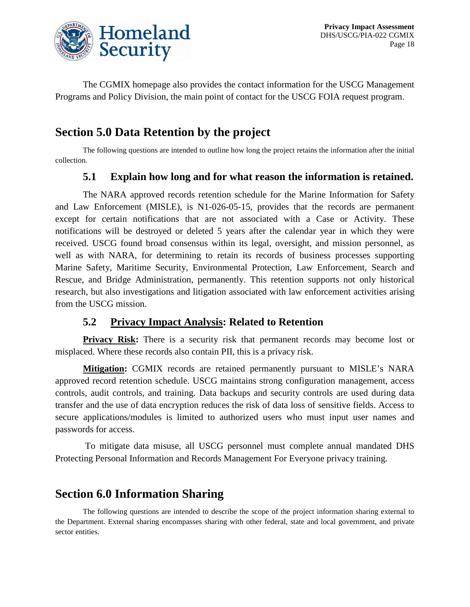

The CGMIX homepage also provides the contact information for the USCG Management Programs and Policy Division, the main point of contact for the USCG FOIA request program.

## **Section 5.0 Data Retention by the project**

The following questions are intended to outline how long the project retains the information after the initial collection.

#### **5.1 Explain how long and for what reason the information is retained.**

The NARA approved records retention schedule for the Marine Information for Safety and Law Enforcement (MISLE), is N1-026-05-15, provides that the records are permanent except for certain notifications that are not associated with a Case or Activity. These notifications will be destroyed or deleted 5 years after the calendar year in which they were received. USCG found broad consensus within its legal, oversight, and mission personnel, as well as with NARA, for determining to retain its records of business processes supporting Marine Safety, Maritime Security, Environmental Protection, Law Enforcement, Search and Rescue, and Bridge Administration, permanently. This retention supports not only historical research, but also investigations and litigation associated with law enforcement activities arising from the USCG mission.

#### **5.2 Privacy Impact Analysis: Related to Retention**

**Privacy Risk:** There is a security risk that permanent records may become lost or misplaced. Where these records also contain PII, this is a privacy risk.

**Mitigation:** CGMIX records are retained permanently pursuant to MISLE's NARA approved record retention schedule. USCG maintains strong configuration management, access controls, audit controls, and training. Data backups and security controls are used during data transfer and the use of data encryption reduces the risk of data loss of sensitive fields. Access to secure applications/modules is limited to authorized users who must input user names and passwords for access.

To mitigate data misuse, all USCG personnel must complete annual mandated DHS Protecting Personal Information and Records Management For Everyone privacy training.

## **Section 6.0 Information Sharing**

The following questions are intended to describe the scope of the project information sharing external to the Department. External sharing encompasses sharing with other federal, state and local government, and private sector entities.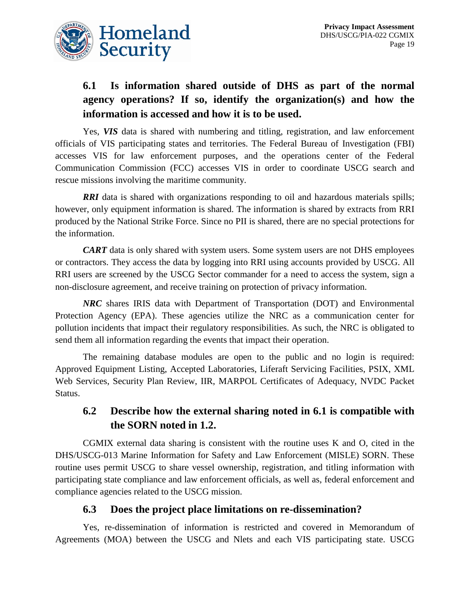

## **6.1 Is information shared outside of DHS as part of the normal agency operations? If so, identify the organization(s) and how the information is accessed and how it is to be used.**

Yes, *VIS* data is shared with numbering and titling, registration, and law enforcement officials of VIS participating states and territories. The Federal Bureau of Investigation (FBI) accesses VIS for law enforcement purposes, and the operations center of the Federal Communication Commission (FCC) accesses VIS in order to coordinate USCG search and rescue missions involving the maritime community.

**RRI** data is shared with organizations responding to oil and hazardous materials spills; however, only equipment information is shared. The information is shared by extracts from RRI produced by the National Strike Force. Since no PII is shared, there are no special protections for the information.

*CART* data is only shared with system users. Some system users are not DHS employees or contractors. They access the data by logging into RRI using accounts provided by USCG. All RRI users are screened by the USCG Sector commander for a need to access the system, sign a non-disclosure agreement, and receive training on protection of privacy information.

*NRC* shares IRIS data with Department of Transportation (DOT) and Environmental Protection Agency (EPA). These agencies utilize the NRC as a communication center for pollution incidents that impact their regulatory responsibilities. As such, the NRC is obligated to send them all information regarding the events that impact their operation.

The remaining database modules are open to the public and no login is required: Approved Equipment Listing, Accepted Laboratories, Liferaft Servicing Facilities, PSIX, XML Web Services, Security Plan Review, IIR, MARPOL Certificates of Adequacy, NVDC Packet Status.

#### **6.2 Describe how the external sharing noted in 6.1 is compatible with the SORN noted in 1.2.**

CGMIX external data sharing is consistent with the routine uses K and O, cited in the DHS/USCG-013 Marine Information for Safety and Law Enforcement (MISLE) SORN. These routine uses permit USCG to share vessel ownership, registration, and titling information with participating state compliance and law enforcement officials, as well as, federal enforcement and compliance agencies related to the USCG mission.

#### **6.3 Does the project place limitations on re-dissemination?**

Yes, re-dissemination of information is restricted and covered in Memorandum of Agreements (MOA) between the USCG and Nlets and each VIS participating state. USCG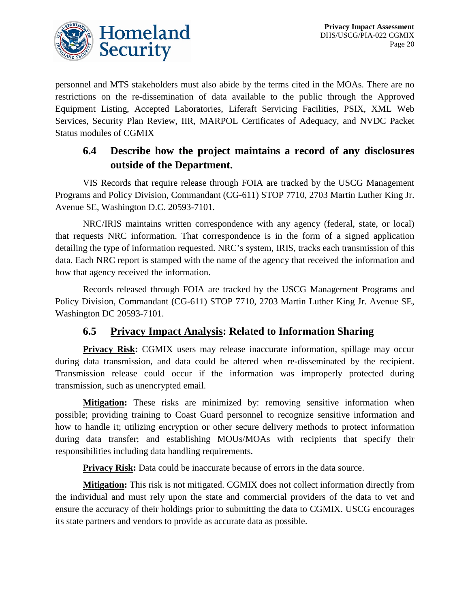

personnel and MTS stakeholders must also abide by the terms cited in the MOAs. There are no restrictions on the re-dissemination of data available to the public through the Approved Equipment Listing, Accepted Laboratories, Liferaft Servicing Facilities, PSIX, XML Web Services, Security Plan Review, IIR, MARPOL Certificates of Adequacy, and NVDC Packet Status modules of CGMIX

#### **6.4 Describe how the project maintains a record of any disclosures outside of the Department.**

VIS Records that require release through FOIA are tracked by the USCG Management Programs and Policy Division, Commandant (CG-611) STOP 7710, 2703 Martin Luther King Jr. Avenue SE, Washington D.C. 20593-7101.

NRC/IRIS maintains written correspondence with any agency (federal, state, or local) that requests NRC information. That correspondence is in the form of a signed application detailing the type of information requested. NRC's system, IRIS, tracks each transmission of this data. Each NRC report is stamped with the name of the agency that received the information and how that agency received the information.

Records released through FOIA are tracked by the USCG Management Programs and Policy Division, Commandant (CG-611) STOP 7710, 2703 Martin Luther King Jr. Avenue SE, Washington DC 20593-7101.

#### **6.5 Privacy Impact Analysis: Related to Information Sharing**

**Privacy Risk:** CGMIX users may release inaccurate information, spillage may occur during data transmission, and data could be altered when re-disseminated by the recipient. Transmission release could occur if the information was improperly protected during transmission, such as unencrypted email.

**Mitigation:** These risks are minimized by: removing sensitive information when possible; providing training to Coast Guard personnel to recognize sensitive information and how to handle it; utilizing encryption or other secure delivery methods to protect information during data transfer; and establishing MOUs/MOAs with recipients that specify their responsibilities including data handling requirements.

**Privacy Risk:** Data could be inaccurate because of errors in the data source.

**Mitigation:** This risk is not mitigated. CGMIX does not collect information directly from the individual and must rely upon the state and commercial providers of the data to vet and ensure the accuracy of their holdings prior to submitting the data to CGMIX. USCG encourages its state partners and vendors to provide as accurate data as possible.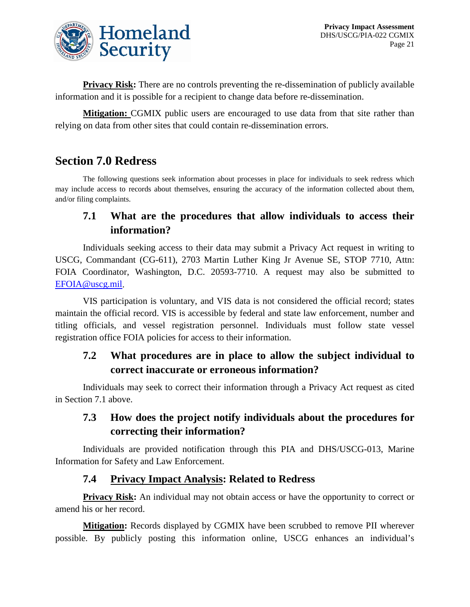

**Privacy Risk:** There are no controls preventing the re-dissemination of publicly available information and it is possible for a recipient to change data before re-dissemination.

**Mitigation:** CGMIX public users are encouraged to use data from that site rather than relying on data from other sites that could contain re-dissemination errors.

## **Section 7.0 Redress**

The following questions seek information about processes in place for individuals to seek redress which may include access to records about themselves, ensuring the accuracy of the information collected about them, and/or filing complaints.

#### **7.1 What are the procedures that allow individuals to access their information?**

Individuals seeking access to their data may submit a Privacy Act request in writing to USCG, Commandant (CG-611), 2703 Martin Luther King Jr Avenue SE, STOP 7710, Attn: FOIA Coordinator, Washington, D.C. 20593-7710. A request may also be submitted to [EFOIA@uscg.mil.](mailto:EFOIA@uscg.mil)

VIS participation is voluntary, and VIS data is not considered the official record; states maintain the official record. VIS is accessible by federal and state law enforcement, number and titling officials, and vessel registration personnel. Individuals must follow state vessel registration office FOIA policies for access to their information.

#### **7.2 What procedures are in place to allow the subject individual to correct inaccurate or erroneous information?**

Individuals may seek to correct their information through a Privacy Act request as cited in Section 7.1 above.

#### **7.3 How does the project notify individuals about the procedures for correcting their information?**

Individuals are provided notification through this PIA and DHS/USCG-013, Marine Information for Safety and Law Enforcement.

#### **7.4 Privacy Impact Analysis: Related to Redress**

**Privacy Risk:** An individual may not obtain access or have the opportunity to correct or amend his or her record.

**Mitigation:** Records displayed by CGMIX have been scrubbed to remove PII wherever possible. By publicly posting this information online, USCG enhances an individual's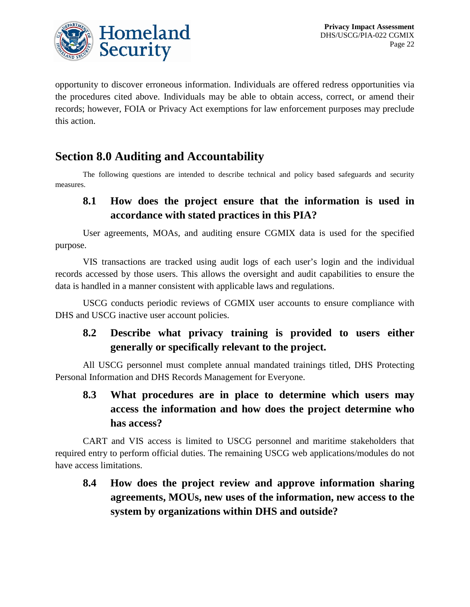

opportunity to discover erroneous information. Individuals are offered redress opportunities via the procedures cited above. Individuals may be able to obtain access, correct, or amend their records; however, FOIA or Privacy Act exemptions for law enforcement purposes may preclude this action.

## **Section 8.0 Auditing and Accountability**

The following questions are intended to describe technical and policy based safeguards and security measures.

#### **8.1 How does the project ensure that the information is used in accordance with stated practices in this PIA?**

User agreements, MOAs, and auditing ensure CGMIX data is used for the specified purpose.

VIS transactions are tracked using audit logs of each user's login and the individual records accessed by those users. This allows the oversight and audit capabilities to ensure the data is handled in a manner consistent with applicable laws and regulations.

USCG conducts periodic reviews of CGMIX user accounts to ensure compliance with DHS and USCG inactive user account policies.

#### **8.2 Describe what privacy training is provided to users either generally or specifically relevant to the project.**

All USCG personnel must complete annual mandated trainings titled, DHS Protecting Personal Information and DHS Records Management for Everyone.

## **8.3 What procedures are in place to determine which users may access the information and how does the project determine who has access?**

CART and VIS access is limited to USCG personnel and maritime stakeholders that required entry to perform official duties. The remaining USCG web applications/modules do not have access limitations.

**8.4 How does the project review and approve information sharing agreements, MOUs, new uses of the information, new access to the system by organizations within DHS and outside?**